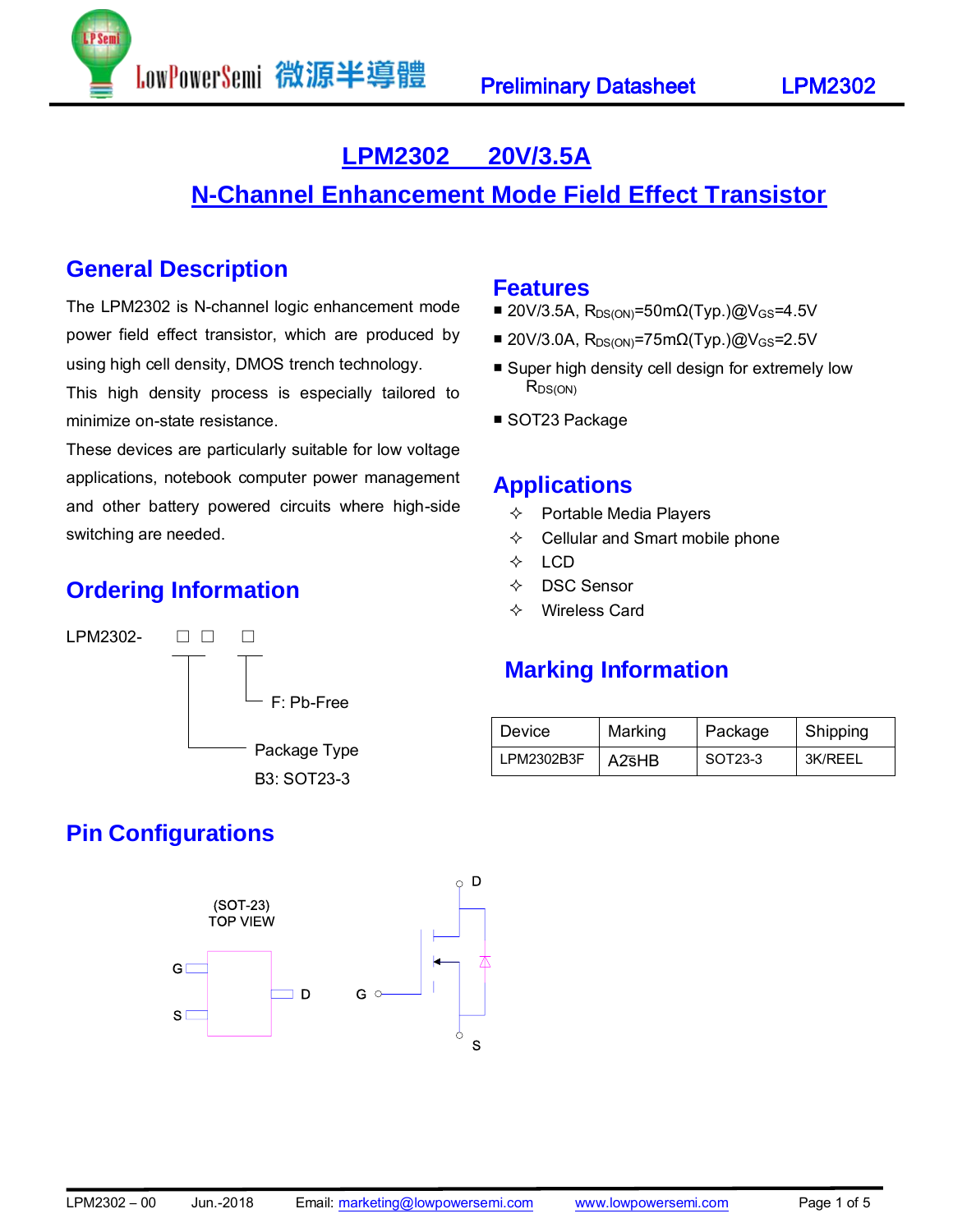# **LPM2302 20V/3.5A**

# **N-Channel Enhancement Mode Field Effect Transistor**

## **General Description**

The LPM2302 is N-channel logic enhancement mode power field effect transistor, which are produced by using high cell density, DMOS trench technology.

This high density process is especially tailored to minimize on-state resistance.

These devices are particularly suitable for low voltage applications, notebook computer power management and other battery powered circuits where high-side switching are needed.

## **Ordering Information**



## **Pin Configurations**



### **Features**

- 20V/3.5A, R<sub>DS(ON)</sub>=50mΩ(Typ.)@V<sub>GS</sub>=4.5V
- 20V/3.0A, R<sub>DS(ON)</sub>=75mΩ(Typ.)@V<sub>GS</sub>=2.5V
- Super high density cell design for extremely low R<sub>DS(ON)</sub>
- SOT23 Package

### **Applications**

- $\Leftrightarrow$  Portable Media Players
- $\Leftrightarrow$  Cellular and Smart mobile phone
- $\Leftrightarrow$  LCD
- DSC Sensor
- Wireless Card

## **Marking Information**

| <b>Device</b> | Marking | Package | Shipping |
|---------------|---------|---------|----------|
| LPM2302B3F    | A2sHB   | SOT23-3 | 3K/RFFI  |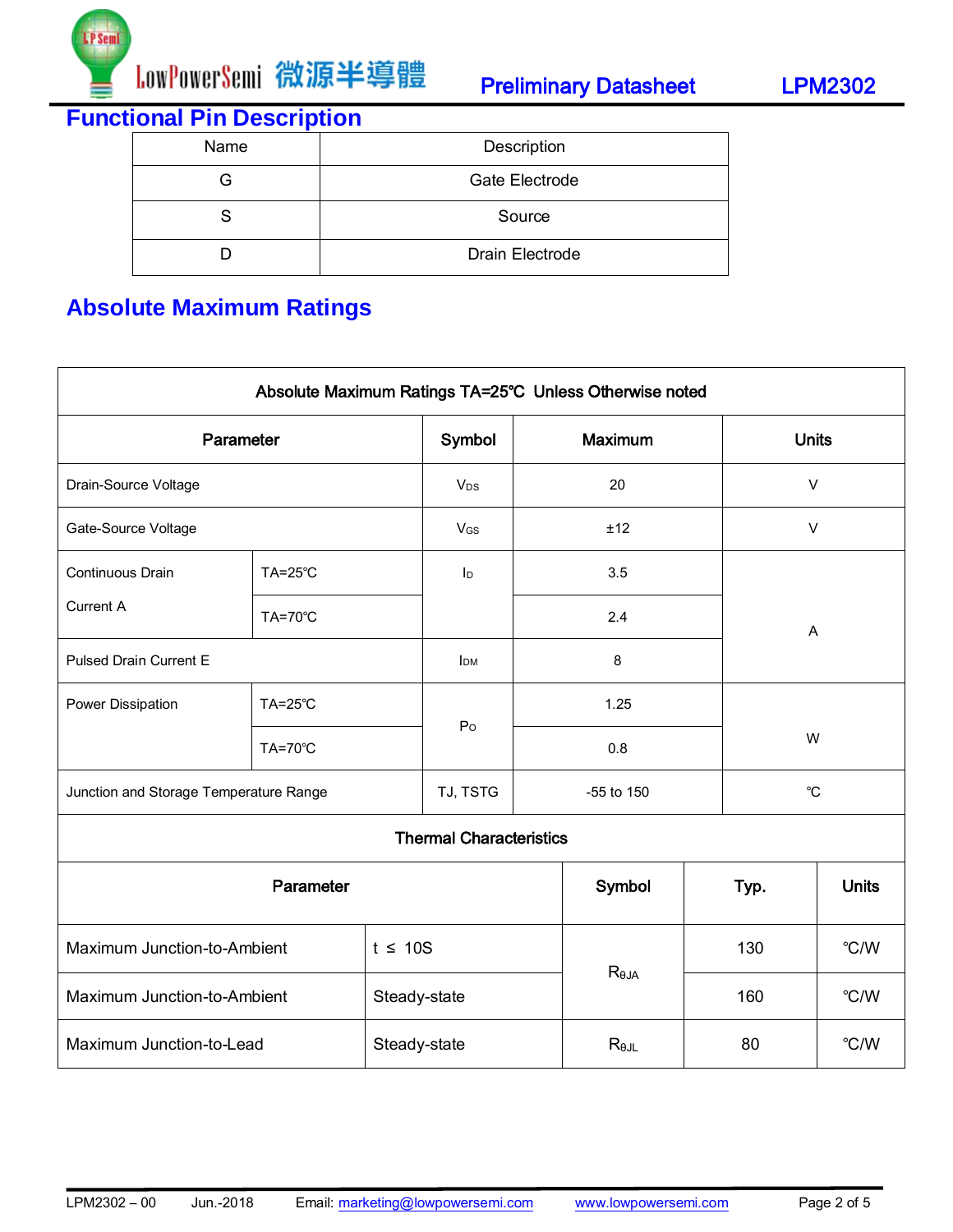

**Functional Pin Description**

| Name | Description     |
|------|-----------------|
| G    | Gate Electrode  |
|      | Source          |
|      | Drain Electrode |

# **Absolute Maximum Ratings**

| Absolute Maximum Ratings TA=25°C Unless Otherwise noted |                |                        |                 |                |            |              |        |              |  |
|---------------------------------------------------------|----------------|------------------------|-----------------|----------------|------------|--------------|--------|--------------|--|
| Parameter                                               |                | Symbol                 |                 | Maximum        |            | <b>Units</b> |        |              |  |
| Drain-Source Voltage                                    |                | <b>V<sub>DS</sub></b>  |                 | 20             |            | $\vee$       |        |              |  |
| Gate-Source Voltage                                     |                |                        | V <sub>GS</sub> |                | ±12        |              | $\vee$ |              |  |
| Continuous Drain                                        | <b>TA=25°C</b> |                        | ID              |                | 3.5        |              |        |              |  |
| <b>Current A</b>                                        | <b>TA=70°C</b> |                        |                 |                | 2.4        |              | A      |              |  |
| <b>Pulsed Drain Current E</b>                           |                | <b>I</b> <sub>DM</sub> |                 | $\bf 8$        |            |              |        |              |  |
| Power Dissipation                                       | TA=25°C        |                        | P <sub>O</sub>  |                | 1.25       |              |        |              |  |
|                                                         | <b>TA=70°C</b> |                        |                 |                | 0.8        |              | W      |              |  |
| Junction and Storage Temperature Range                  |                |                        | TJ, TSTG        |                | -55 to 150 | $^{\circ}$ C |        |              |  |
| <b>Thermal Characteristics</b>                          |                |                        |                 |                |            |              |        |              |  |
| Parameter                                               |                |                        |                 |                | Symbol     |              | Typ.   | <b>Units</b> |  |
| Maximum Junction-to-Ambient<br>$t \leq 10S$             |                |                        |                 |                |            | 130          | °C/W   |              |  |
| Maximum Junction-to-Ambient<br>Steady-state             |                |                        |                 | $R_{\theta$ JA |            | 160          | °C/W   |              |  |
| Maximum Junction-to-Lead                                |                | Steady-state           |                 | $R_{\theta$ JL |            | 80           | °C/W   |              |  |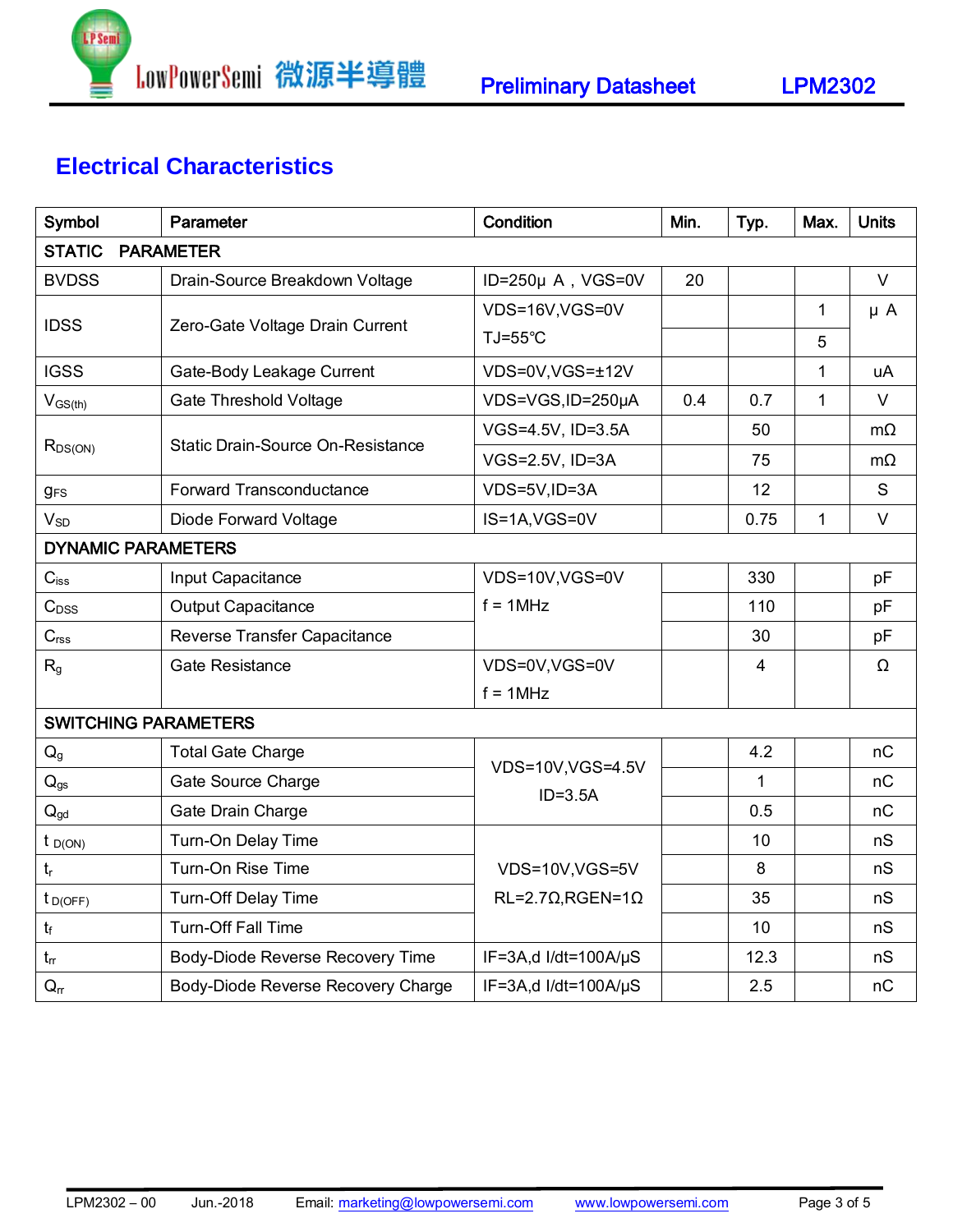

# **Electrical Characteristics**

| Symbol                            | Parameter                                | Condition                        | Min.         | Typ.        | Max.         | <b>Units</b> |  |  |
|-----------------------------------|------------------------------------------|----------------------------------|--------------|-------------|--------------|--------------|--|--|
| <b>STATIC</b><br><b>PARAMETER</b> |                                          |                                  |              |             |              |              |  |  |
| <b>BVDSS</b>                      | Drain-Source Breakdown Voltage           | ID=250µ A, VGS=0V                | 20           |             |              | $\vee$       |  |  |
| <b>IDSS</b>                       |                                          | VDS=16V,VGS=0V                   |              |             | $\mathbf{1}$ | $\mu$ A      |  |  |
|                                   | Zero-Gate Voltage Drain Current          | TJ=55°C                          |              |             | 5            |              |  |  |
| <b>IGSS</b>                       | Gate-Body Leakage Current                | VDS=0V,VGS=±12V                  | $\mathbf{1}$ |             |              |              |  |  |
| $V_{GS(th)}$                      | Gate Threshold Voltage                   | VDS=VGS, ID=250µA                | 0.4          | 0.7         | $\mathbf{1}$ | $\vee$       |  |  |
|                                   | <b>Static Drain-Source On-Resistance</b> | VGS=4.5V, ID=3.5A                |              | 50          |              | $m\Omega$    |  |  |
| $R_{DS(ON)}$                      |                                          | VGS=2.5V, ID=3A                  |              | 75          |              | $m\Omega$    |  |  |
| <b>gFS</b>                        | Forward Transconductance                 | VDS=5V,ID=3A                     |              | 12          |              | S            |  |  |
| $V_{SD}$                          | Diode Forward Voltage                    | IS=1A, VGS=0V                    |              | 0.75        | $\mathbf{1}$ | $\vee$       |  |  |
| <b>DYNAMIC PARAMETERS</b>         |                                          |                                  |              |             |              |              |  |  |
| $C_\mathsf{iss}$                  | Input Capacitance                        | VDS=10V,VGS=0V                   |              | 330         |              | pF           |  |  |
| $C_{DSS}$                         | <b>Output Capacitance</b>                | $f = 1$ MHz                      |              | 110         |              | pF           |  |  |
| C <sub>rss</sub>                  | Reverse Transfer Capacitance             |                                  |              | 30          |              | pF           |  |  |
| $\mathsf{R}_{\mathsf{g}}$         | Gate Resistance                          | VDS=0V,VGS=0V                    |              | 4           |              | Ω            |  |  |
|                                   |                                          | $f = 1MHz$                       |              |             |              |              |  |  |
| <b>SWITCHING PARAMETERS</b>       |                                          |                                  |              |             |              |              |  |  |
| Q <sub>g</sub>                    | <b>Total Gate Charge</b>                 |                                  |              | 4.2         |              | nC           |  |  |
| $\mathbf{Q}_\text{gs}$            | Gate Source Charge                       | VDS=10V, VGS=4.5V<br>$ID = 3.5A$ |              | $\mathbf 1$ |              | nC           |  |  |
| $Q_{gd}$                          | Gate Drain Charge                        |                                  |              | 0.5         |              | nC           |  |  |
| $t_{D(ON)}$                       | Turn-On Delay Time                       |                                  |              | 10          |              | nS           |  |  |
| $t_r$                             | Turn-On Rise Time                        | VDS=10V,VGS=5V                   |              | 8           |              | nS           |  |  |
| $t_{D(OFF)}$                      | <b>Turn-Off Delay Time</b>               | $RL=2.7\Omega, RGEN=1\Omega$     |              | 35          |              | nS           |  |  |
| $t_{\rm f}$                       | <b>Turn-Off Fall Time</b>                |                                  |              | 10          |              | nS           |  |  |
| $t_{rr}$                          | Body-Diode Reverse Recovery Time         | IF=3A,d I/dt=100A/ $\mu$ S       |              | 12.3        |              | nS           |  |  |
| $Q_{rr}$                          | Body-Diode Reverse Recovery Charge       | IF=3A,d I/dt=100A/µS             |              | 2.5         |              | nC           |  |  |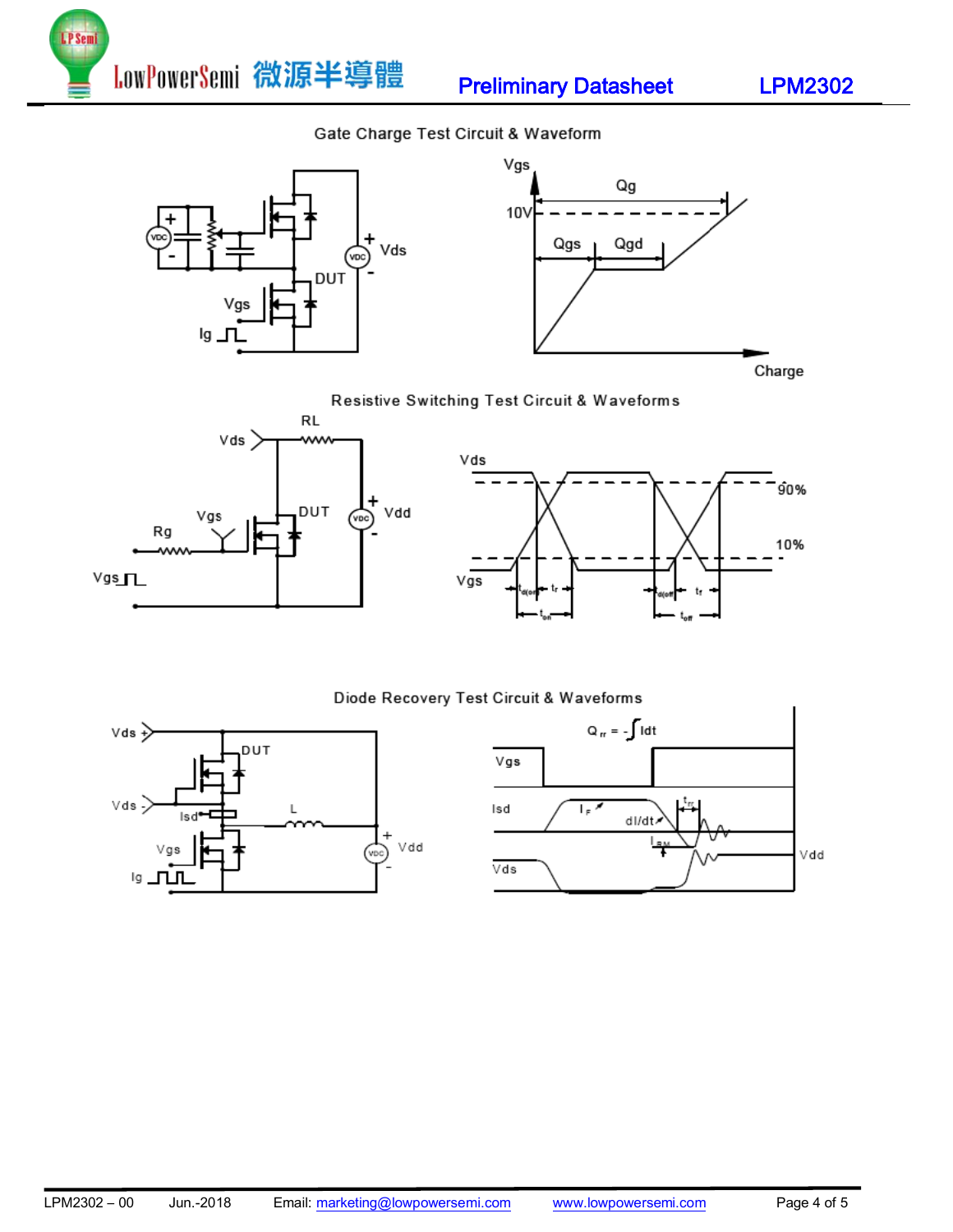LowPowerSemi 微源半導體 Preliminary Datasheet LPM2302

### Gate Charge Test Circuit & Waveform



Charge

### Resistive Switching Test Circuit & Waveforms



P<sub>Sem</sub>



### Diode Recovery Test Circuit & Waveforms